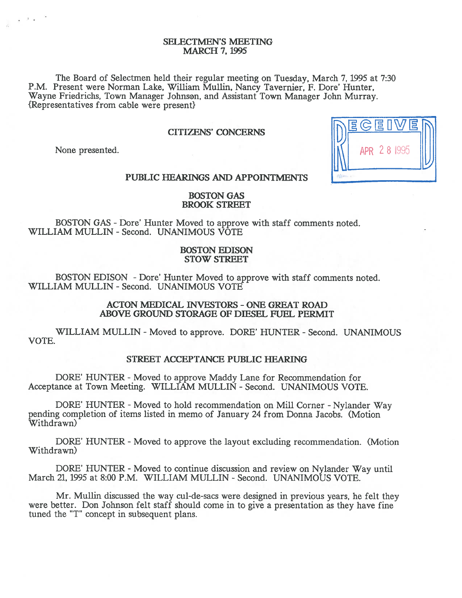# SELECTMEN'S MEETING MARCH 7, 1995

The Board of Selectmen held their regular meeting on Tuesday, March 7, 1995 at 7:30 P.M. Present were Norman Lake, William Mullin, Nancy Tavernier, F. Dore' Hunter, Wayne Friedrichs, Town Manager Johnson, and Assistant Town Manager John Murray. {Representatives from cable were present}

# CITIZENS' CONCERNS

None presented.

 $2 - 1$ 



# PUBLIC HEARINGS AND APPOINTMENTS

# BOSTON GAS BROOK STREET

BOSTON GAS - Dore' Hunter Moved to approve with staff comments noted. WILLIAM MULLIN -Second. UNANIMOUS VOTE

# BOSTON EDISON STOW STREET

BOSTON EDISON -Dore' Hunter Moved to approve with staff comments noted. WILLIAM MULLIN - Second. UNANIMOUS VOTE

# ACTON MEDICAL INVESTORS -ONE GREAT ROAD ABOVE GROUND STORAGE OF DIESEL FUEL PERMIT

WILLIAM MULLIN - Moved to approve. DORE' HUNTER - Second. UNANIMOUS VOTE.

# STREET ACCEPTANCE PUBLIC HEARING

DORE' HUNTER - Moved to approve Maddy Lane for Recommendation for Acceptance at Town Meeting. WILLIAM MULLIN - Second. UNANIMOUS VOTE.

DORE' HUNTER - Moved to hold recommendation on Mill Corner - Nylander Way pending completion of items listed in memo of January 24 from Donna Jacobs. (Motion Withdrawn)

DORE' HUNTER - Moved to approve the layout excluding recommendation. (Motion Withdrawn)

DORE' HUNTER - Moved to continue discussion and review on Nylander Way until March 21, 1995 at 8:00 P.M. WILLIAM MULLIN - Second. UNANIMOUS VOTE.

Mr. Mullin discussed the way cul-de-sacs were designed in previous years, he felt they were better. Don Johnson felt staff should come in to give a presentation as they have fine tuned the "T" concep<sup>t</sup> in subsequent plans.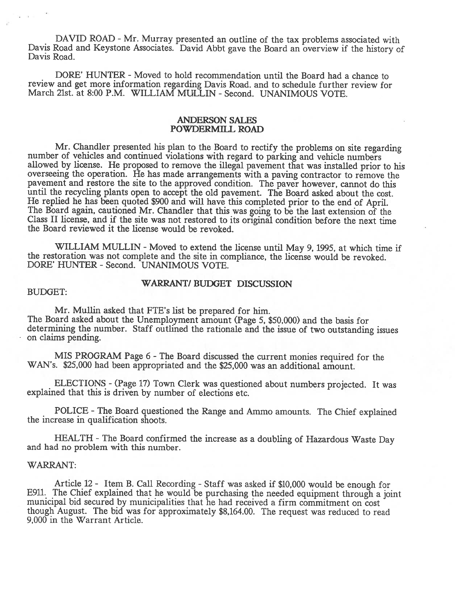DAVID ROAD - Mr. Murray presented an outline of the tax problems associated with Davis Road and Keystone Associates. David Abbt gave the Board an overview if the history of Davis Road.

DORE' HUNTER - Moved to hold recommendation until the Board had a chance to review and ge<sup>t</sup> more information regarding Davis Road. and to schedule further review for March 21st. at 8:00 P.M. WILLIAM MULLIN -Second. UNANIMOUS VOTE.

# ANDERSON SALES POWDERMILL ROAD

Mr. Chandler presented his plan to the Board to rectify the problems on site regarding<br>number of vehicles and continued violations with regard to parking and vehicle numbers<br>allowed by license. He proposed to remove the il pavemen<sup>t</sup> and restore the site to the approve<sup>d</sup> condition. The paver however, cannot do this until the recycling plants open to accept the old pavement. The Board asked about the cost.<br>He replied he has been quoted \$900 and will have this completed prior to the end of April. The Board again, cautioned Mr. Chandler that this was going to be the last extension of the Class II license, and if the site was not restored to its original condition before the next time the Board reviewed it the license would be revoked.

WILLIAM MULLIN - Moved to extend the license until May 9, 1995, at which time if the restoration was not complete and the site in compliance, the license would be revoked. DORE' HUNTER - Second. UNANIMOUS VOTE.

# WARRANT? BUDGET DISCUSSION

#### BUDGET:

Mr. Mullin asked that FTE's list be prepared for him. The Board asked about the Unemployment amount (Page 5, \$50,000) and the basis for determining the number. Staff outlined the rationale and the issue of two outstanding issues on claims pending.

MIS PROGRAM Page <sup>6</sup> -The Board discussed the current monies required for the WAN's. \$25,000 had been appropriated and the \$25,000 was an additional amount.

ELECTIONS - (Page 17) Town Clerk was questioned about numbers projected. It was explained that this is driven by number of elections etc.

POLICE -The Board questioned the Range and Ammo amounts. The Chief explained the increase in qualification shoots.

HEALTH - The Board confirmed the increase as a doubling of Hazardous Waste Day and had no problem with this number.

# WARRANT:

Article 12 - Item B. Call Recording - Staff was asked if \$10,000 would be enough for<br>E911. The Chief explained that he would be purchasing the needed equipment through a joint<br>municipal bid secured by municipalities that h though August. The bid was for approximately \$8,164.00. The request was reduced to read 9,000 in the Warrant Article.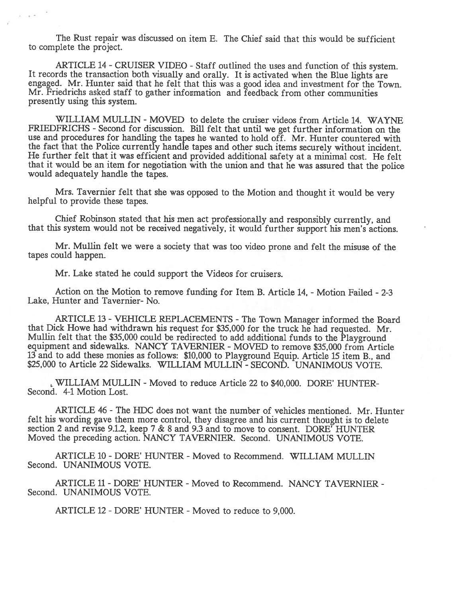The Rust repair was discussed on item E. The Chief said that this would be sufficient to complete the project.

ARTICLE 14 - CRUISER VIDEO - Staff outlined the uses and function of this system.<br>It records the transaction both visually and orally. It is activated when the Blue lights are engaged. Mr. Hunter said that he felt that this was <sup>a</sup> goo<sup>d</sup> idea and investment for the Town. Mr. Friedrichs asked staff to gather infovmation and feedback from other communities presently using this system.

WILLIAM MULLIN - MOVED to delete the cruiser videos from Article 14. WAYNE FRIEDFRICHS - Second for discussion. Bill felt that until we get further information on the use and procedures for handling the tapes he wanted to hold off. Mr. Hunter countered with the fact that the Police currently handle tapes and other such items securely without incident. He further felt that it was efficient and provided additional safety at <sup>a</sup> minimal cost. He felt that it would be an item for negotiation with the union and that he was assured that the police would adequately handle the tapes.

Mrs. Tavernier felt that she was oppose<sup>d</sup> to the Motion and thought it would be very helpful to provide these tapes.

Chief Robinson stated that his men act professionally and responsibly currently, and that this system would not be received negatively, it would further suppor<sup>t</sup> his men's actions.

Mr. Mullin felt we were <sup>a</sup> society that was too video prone and felt the misuse of the tapes could happen.

Mr. Lake stated he could suppor<sup>t</sup> the Videos for cruisers.

Action on the Motion to remove funding for Item B. Article 14, - Motion Failed - 2-3 Lake, Hunter and Tavernier- No.

ARTICLE 13 - VEHICLE REPLACEMENTS - The Town Manager informed the Board that Dick Howe had withdrawn his reques<sup>t</sup> for \$35,000 for the truck he had requested. Mr. Mullin felt that the \$35,000 could be redirected to add additional funds to the Playground equipment and sidewalks. NANCY TAVERNIER - MOVED to remove \$35,000 from Article <sup>13</sup> and to add these monies as follows: \$10,000 to Playground Equip. Article <sup>15</sup> item B., and \$25,000 to Article 22 Sidewalks. WILLIAM MULLIN - SECOND. UNANIMOUS VOTE.

WILLIAM MULLIN -Moved to reduce Article 22 to \$40,000. DORE' HUNTER-Second. 4-1 Motion Lost.

ARTICLE 46 -The HDC does not want the number of vehicles mentioned. Mr. Hunter felt his wording gave them more control, they disagree and his current thought is to delete section 2 and revise 9.1.2, keep 7 & 8 and 9.3 and to move to consent. DORE' HUNTER Moved the preceding action. NANCY TAVERNIER. Second. UNANIMOUS VOTE.

ARTICLE 10 - DORE' HUNTER - Moved to Recommend. WILLIAM MULLIN Second. UNANIMOUS VOTE.

ARTICLE 11- DORE' HUNTER -Moved to Recommend. NANCY TAVERNIER - Second. UNANIMOUS VOTE.

ARTICLE 12 - DORE' HUNTER - Moved to reduce to 9,000.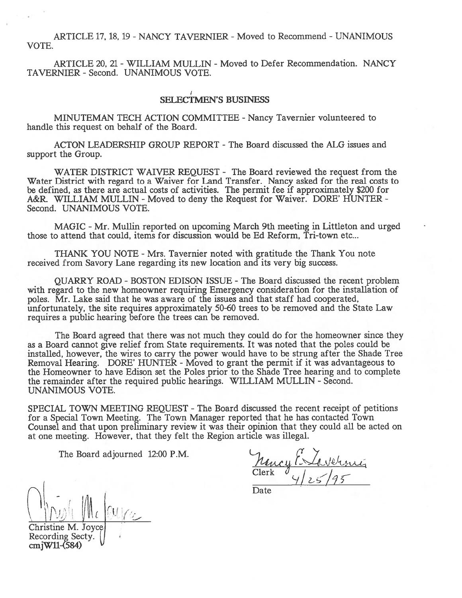ARTICLE 17, 18, 19 - NANCY TAVERNIER - Moved to Recommend - UNANIMOUS VOTE.

ARTICLE 20, 21 - WILLIAM MULLIN - Moved to Defer Recommendation. NANCY TAVERNIER - Second. UNANIMOUS VOTE.

# SELECTMEN'S BUSINESS

MINUTEMAN TECH ACTION COMMITTEE - Nancy Tavernier volunteered to handle this reques<sup>t</sup> on behalf of the Board.

ACTON LEADERSHIP GROUP REPORT -The Board discussed the ALG issues and suppor<sup>t</sup> the Group.

WATER DISTRICT WAIVER REQUEST - The Board reviewed the reques<sup>t</sup> from the Water District with regard to <sup>a</sup> Waiver for Land Transfer. Nancy asked for the real costs to be defined, as there are actual costs of activities. The permit fee if approximately \$200 for A&R. WILLIAM MULLIN - Moved to deny the Request for Waiver. DORE' HUNTER -Second. UNANIMOUS VOTE.

MAGIC -Mr. Mullin reported on upcoming March 9th meeting in Littleton and urged those to attend that could, items for discussion would be Ed Reform, Tri-town etc...

THANK YOU NOTE - Mrs. Tavernier noted with gratitude the Thank You note received from Savory Lane regarding its new location and its very big success.

QUARRY ROAD -BOSTON EDISON ISSUE -The Board discussed the recent problem with regard to the new homeowner requiring Emergency consideration for the installation of poles. Mr. Lake said that he was aware of the issues and that staff had cooperated, unfortunately, the site requires approximately 50-60 trees to be removed and the State Law requires <sup>a</sup> public hearing before the trees can be removed.

The Board agreed that there was not much they could do for the homeowner since they as <sup>a</sup> Board cannot give relief from State requirements. It was noted that the poles could be installed, however, the wires to carry the power would have to be strung after the Shade Tree Removal Hearing. DORE' HUNTER - Moved to grant the permit if it was advantageous to the Homeowner to have Edison set the Poles prior to the Shade Tree hearing and to complete the remainder after the required public hearings. WILLIAM MULLIN -Second. UNANIMOUS VOTE.

SPECIAL TOWN MEETING REQUEST -The Board discussed the recent receipt of petitions for <sup>a</sup> Special Town Meeting. The Town Manager reported that he has contacted Town Counsel and that upon preliminary review it was their opinion that they could all be acted on at one meeting. However, that they felt the Region article was illegal.

The Board adjourned 12:00 P.M.

Clerk  $4/z<sub>5</sub>$ 

Date

 $\int_0^{\pi}$  for  $|cu|$ 

Christine M. Recording Secty. cmjWll-(584)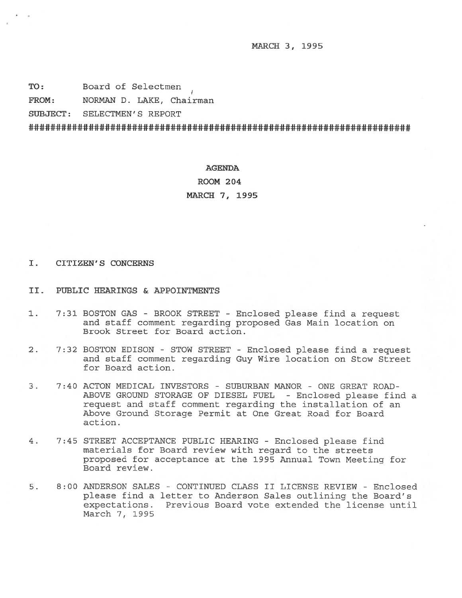MARCH 3, 1995

TO: Board of Selectmen

FROM: NORMAN D. LAKE, Chairman

SUBJECT: SELECTMEN'S REPORT

#### AGENDA

ROOM 204

MARCH 7, 1995

# I. CITIZEN'S CONCERNS

- II. PUBLIC HEARINGS & APPOINTNEN'TS
- 1. 7:31 BOSTON GAS BROOK STREET Enclosed please find <sup>a</sup> reques<sup>t</sup> and staff comment regarding proposed Gas Main location on Brook Street for Board action.
- 2. 7:32 BOSTON EDISON STOW STREET Enclosed please find <sup>a</sup> reques<sup>t</sup> and staff comment regarding Guy Wire location on Stow Street for Board action.
- 3. 7:40 ACTON MEDICAL INVESTORS SUBURBAN MANOR ONE GREAT ROAD-ABOVE GROUND STORAGE OF DIESEL FUEL -Enclosed please find <sup>a</sup> reques<sup>t</sup> and staff comment regarding the installation of an Above Ground Storage Permit at One Great Road for Board action.
- 4. 7:45 STREET ACCEPTANCE PUBLIC HEARING Enclosed please find materials for Board review with regard to the streets proposed for acceptance at the 1995 Annual Town Meeting for Board review.
- 5. 8:00 ANDERSON SALES CONTINUED CLASS II LICENSE REVIEW Enclosed please find <sup>a</sup> letter to Anderson Sales outlining the Board's expectations. Previous Board vote extended the license until March 7, 1995